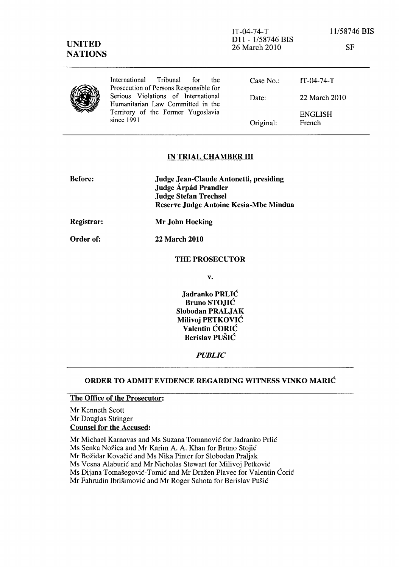SF

|  | International Tribunal for<br><sub>the</sub><br>Prosecution of Persons Responsible for | Case No.  | IT-04-74-T               |
|--|----------------------------------------------------------------------------------------|-----------|--------------------------|
|  | Serious Violations of International<br>Humanitarian Law Committed in the               | Date:     | 22 March 2010            |
|  | Territory of the Former Yugoslavia<br>since 1991                                       | Original: | <b>ENGLISH</b><br>French |

## IN TRIAL CHAMBER III

| <b>Judge Jean-Claude Antonetti, presiding</b> |
|-----------------------------------------------|
| Judge Árpád Prandler                          |
| <b>Judge Stefan Trechsel</b>                  |
| Reserve Judge Antoine Kesia-Mbe Mindua        |
|                                               |

22 March 2010

Registrar: Mr John Hocking

Order of:

# THE PROSECUTOR

v.

Jadranko PRLIC Bruno STOJIC Slobodan PRALJAK Milivoj PETKOVIC Valentin CORIC Berislav PUSIC

*PUBLIC* 

#### ORDER TO ADMIT EVIDENCE REGARDING WITNESS VINKO MARIC

## The Office of the Prosecutor:

Mr Kenneth Scott Mr Douglas Stringer Counsel for the Accused:

Mr Michael Karnavas and Ms Suzana Tomanovic for Jadranko Prlic Ms Senka Nozica and Mr Karim A. A. Khan for Bruno Stojic Mr Božidar Kovačić and Ms Nika Pinter for Slobodan Praljak Ms Vesna Alaburic and Mr Nicholas Stewart for Milivoj Petkovic Ms Dijana Tomasegovic-Tomic and Mr Drazen Plavec for Valentin Coric Mr Fahrudin Ibrisimovic and Mr Roger Sahota for Berislav Pusic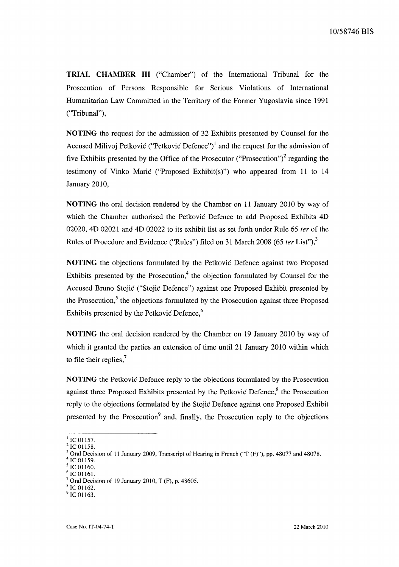**TRIAL CHAMBER III** ("Chamber") of the International Tribunal for the Prosecution of Persons Responsible for Serious Violations of International Humanitarian Law Committed in the Territory of the Former Yugoslavia since 1991 ("Tribunal"),

**NOTING** the request for the admission of 32 Exhibits presented by Counsel for the Accused Milivoj Petković ("Petković Defence")<sup>1</sup> and the request for the admission of five Exhibits presented by the Office of the Prosecutor ("Prosecution")<sup>2</sup> regarding the testimony of Vinko Marie ("Proposed Exhibit(s)") who appeared from 11 to 14 January 2010,

**NOTING** the oral decision rendered by the Chamber on 11 January 2010 by way of which the Chamber authorised the Petković Defence to add Proposed Exhibits 4D 02020, 4D 02021 and 4D 02022 to its exhibit list as set forth under Rule 65 *ter* of the Rules of Procedure and Evidence ("Rules") filed on 31 March 2008 (65 *ter* List"),<sup>3</sup>

**NOTING** the objections formulated by the Petković Defence against two Proposed Exhibits presented by the Prosecution, $4$  the objection formulated by Counsel for the Accused Bruno Stojie ("Stojie Defence") against one Proposed Exhibit presented by the Prosecution, $<sup>5</sup>$  the objections formulated by the Prosecution against three Proposed</sup> Exhibits presented by the Petković Defence,<sup>6</sup>

**NOTING** the oral decision rendered by the Chamber on 19 January 2010 by way of which it granted the parties an extension of time until 21 January 2010 within which to file their replies, $<sup>7</sup>$ </sup>

**NOTING** the Petkovic Defence reply to the objections formulated by the Prosecution against three Proposed Exhibits presented by the Petković Defence, $\delta$  the Prosecution reply to the objections formulated by the Stojie Defence against one Proposed Exhibit presented by the Prosecution $9$  and, finally, the Prosecution reply to the objections

 $1$ IC 01157.

 $^{2}$  IC 01158.

<sup>3</sup> Oral Decision of 11 January 2009, Transcript of Hearing in French ("T (F)"), pp. 48077 and 48078.

IC 01159.

IC 01160. IC 01161.

Oral Decision of 19 January 2010, T (F), p. 48605.

IC 01162.

 $^{\prime}$  IC 01163.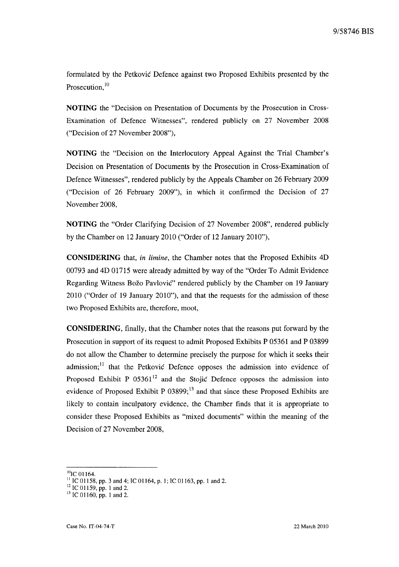formulated by the Petkovic Defence against two Proposed Exhibits presented by the Prosecution.<sup>10</sup>

**NOTING** the "Decision on Presentation of Documents by the Prosecution in Cross-Examination of Defence Witnesses", rendered publicly on 27 November 2008 ("Decision of 27 November 2008"),

**NOTING** the "Decision on the Interlocutory Appeal Against the Trial Chamber's Decision on Presentation of Documents by the Prosecution in Cross-Examination of Defence Witnesses", rendered publicly by the Appeals Chamber on 26 February 2009 ("Decision of 26 February 2009"), in which it confirmed the Decision of 27 November 2008,

**NOTING** the "Order Clarifying Decision of 27 November 2008", rendered publicly by the Chamber on 12 January 2010 ("Order of 12 January 2010"),

**CONSIDERING** that, *in limine,* the Chamber notes that the Proposed Exhibits 4D 00793 and 4D 01715 were already admitted by way of the "Order To Admit Evidence Regarding Witness Božo Pavlović" rendered publicly by the Chamber on 19 January 2010 ("Order of 19 January 2010"), and that the requests for the admission of these two Proposed Exhibits are, therefore, moot,

**CONSIDERING,** finally, that the Chamber notes that the reasons put forward by the Prosecution in support of its request to admit Proposed Exhibits P 05361 and P 03899 do not allow the Chamber to determine precisely the purpose for which it seeks their admission;<sup>11</sup> that the Petković Defence opposes the admission into evidence of Proposed Exhibit P  $05361^{12}$  and the Stojić Defence opposes the admission into evidence of Proposed Exhibit P  $03899$ ;<sup>13</sup> and that since these Proposed Exhibits are likely to contain inculpatory evidence, the Chamber finds that it is appropriate to consider these Proposed Exhibits as "mixed documents" within the meaning of the Decision of 27 November 2008,

 $^{10}$ IC 01164.

<sup>&</sup>lt;sup>11</sup> IC 01158, pp. 3 and 4; IC 01164, p. 1; IC 01163, pp. 1 and 2.

 $12$  IC 01159, pp. 1 and 2.

 $13$  IC 01160, pp. 1 and 2.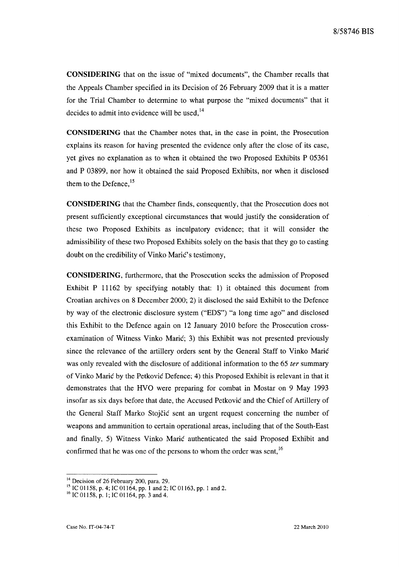**CONSIDERING** that on the issue of "mixed documents", the Chamber recalls that the Appeals Chamber specified in its Decision of 26 February 2009 that it is a matter for the Trial Chamber to determine to what purpose the "mixed documents" that it decides to admit into evidence will be used. $^{14}$ 

**CONSIDERING** that the Chamber notes that, in the case in point, the Prosecution explains its reason for having presented the evidence only after the close of its case, yet gives no explanation as to when it obtained the two Proposed Exhibits P 05361 and P 03899, nor how it obtained the said Proposed Exhibits, nor when it disclosed them to the Defence.<sup>15</sup>

**CONSIDERING** that the Chamber finds, consequently, that the Prosecution does not present sufficiently exceptional circumstances that would justify the consideration of these two Proposed Exhibits as inculpatory evidence; that it will consider the admissibility of these two Proposed Exhibits solely on the basis that they go to casting doubt on the credibility of Vinko Marić's testimony,

**CONSIDERING,** furthermore, that the Prosecution seeks the admission of Proposed Exhibit P 11162 by specifying notably that: 1) it obtained this document from Croatian archives on 8 December 2000; 2) it disclosed the said Exhibit to the Defence by way of the electronic disclosure system ("EDS") "a long time ago" and disclosed this Exhibit to the Defence again on 12 January 2010 before the Prosecution crossexamination of Witness Vinko Marić; 3) this Exhibit was not presented previously since the relevance of the artillery orders sent by the General Staff to Vinko Marie was only revealed with the disclosure of additional information to the 65 *ter* summary of Vinko Marie by the Petkovie Defence; 4) this Proposed Exhibit is relevant in that it demonstrates that the HVO were preparing for combat in Mostar on 9 May 1993 insofar as six days before that date, the Accused Petković and the Chief of Artillery of the General Staff Marko Stojčić sent an urgent request concerning the number of weapons and ammunition to certain operational areas, including that of the South-East and finally, 5) Witness Vinko Marie authenticated the said Proposed Exhibit and confirmed that he was one of the persons to whom the order was sent.<sup>16</sup>

<sup>&</sup>lt;sup>14</sup> Decision of 26 February 200, para. 29.

<sup>&</sup>lt;sup>15</sup> IC 01158, p. 4; IC 01164, pp. 1 and 2; IC 01163, pp. 1 and 2.

 $^{16}$  IC 01158, p. 1; IC 01164, pp. 3 and 4.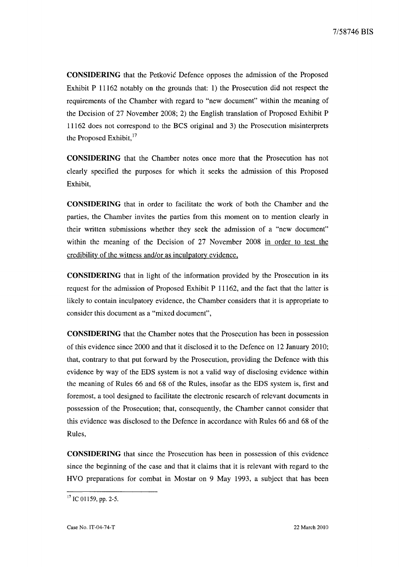**CONSIDERING** that the Petkovic Defence opposes the admission of the Proposed Exhibit P 11162 notably on the grounds that: 1) the Prosecution did not respect the requirements of the Chamber with regard to "new document" within the meaning of the Decision of 27 November 2008; 2) the English translation of Proposed Exhibit P 11162 does not correspond to the BCS original and 3) the Prosecution misinterprets the Proposed Exhibit,<sup>17</sup>

**CONSIDERING** that the Chamber notes once more that the Prosecution has not clearly specified the purposes for which it seeks the admission of this Proposed Exhibit,

**CONSIDERING** that in order to facilitate the work of both the Chamber and the parties, the Chamber invites the parties from this moment on to mention clearly in their written submissions whether they seek the admission of a "new document" within the meaning of the Decision of 27 November 2008 in order to test the credibility of the witness and/or as inculpatory evidence,

**CONSIDERING** that in light of the information provided by the Prosecution in its request for the admission of Proposed Exhibit P 11162, and the fact that the latter is likely to contain inculpatory evidence, the Chamber considers that it is appropriate to consider this document as a "mixed document",

**CONSIDERING** that the Chamber notes that the Prosecution has been in possession of this evidence since 2000 and that it disclosed it to the Defence on 12 January 2010; that, contrary to that put forward by the Prosecution, providing the Defence with this evidence by way of the EDS system is not a valid way of disclosing evidence within the meaning of Rules 66 and 68 of the Rules, insofar as the EDS system is, first and foremost, a tool designed to facilitate the electronic research of relevant documents in possession of the Prosecution; that, consequently, the Chamber cannot consider that this evidence was disclosed to the Defence in accordance with Rules 66 and 68 of the Rules,

**CONSIDERING** that since the Prosecution has been in possession of this evidence since the beginning of the case and that it claims that it is relevant with regard to the HVO preparations for combat in Mostar on 9 May 1993, a subject that has been

 $17$  IC 01159, pp. 2-5.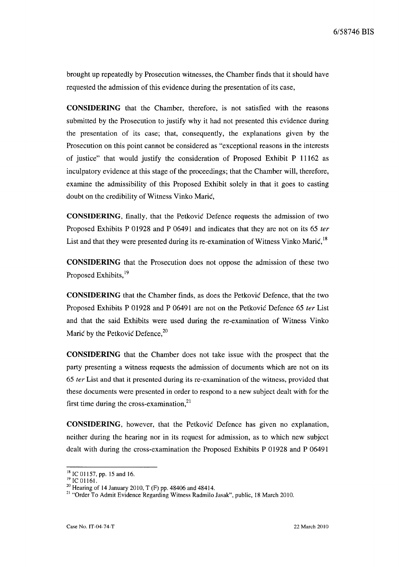brought up repeatedly by Prosecution witnesses, the Chamber finds that it should have requested the admission of this evidence during the presentation of its case,

**CONSIDERING** that the Chamber, therefore, is not satisfied with the reasons submitted by the Prosecution to justify why it had not presented this evidence during the presentation of its case; that, consequently, the explanations given by the Prosecution on this point cannot be considered as "exceptional reasons in the interests of justice" that would justify the consideration of Proposed Exhibit P 11162 as inculpatory evidence at this stage of the proceedings; that the Chamber will, therefore, examine the admissibility of this Proposed Exhibit solely in that it goes to casting doubt on the credibility of Witness Vinko MariC,

**CONSIDERING,** finally, that the Petkovic Defence requests the admission of two Proposed Exhibits P 01928 and P 06491 and indicates that they are not on its 65 *ter*  List and that they were presented during its re-examination of Witness Vinko Mari $\zeta$ <sup>18</sup>

**CONSIDERING** that the Prosecution does not oppose the admission of these two Proposed Exhibits,<sup>19</sup>

**CONSIDERING** that the Chamber finds, as does the Petkovie Defence, that the two Proposed Exhibits P 01928 and P 06491 are not on the Petkovie Defence 65 *ter* List and that the said Exhibits were used during the re-examination of Witness Vinko Mari $\zeta$  by the Petkovic Defence,  $^{20}$ 

**CONSIDERING** that the Chamber does not take issue with the prospect that the party presenting a witness requests the admission of documents which are not on its *65 ter* List and that it presented during its re-examination of the witness, provided that these documents were presented in order to respond to a new subject dealt with for the first time during the cross-examination, $^{21}$ 

**CONSIDERING,** however, that the Petkovie Defence has given no explanation, neither during the hearing nor in its request for admission, as to which new subject dealt with during the cross-examination the Proposed Exhibits P 01928 and P 06491

<sup>&</sup>lt;sup>18</sup> IC 01157, pp. 15 and 16.

 $^{19}$  IC 01161.

<sup>&</sup>lt;sup>20</sup> Hearing of 14 January 2010, T (F) pp. 48406 and 48414.

<sup>21 &</sup>quot;Order To Admit Evidence Regarding Witness Radmilo Jasak", public, 18 March 2010.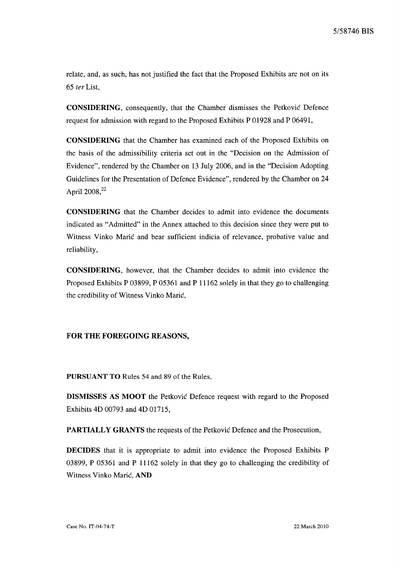relate, and, as such, has not justified the fact that the Proposed Exhibits are not on its *65 ter* List,

CONSIDERING, consequently, that the Chamber dismisses the Petkovie Defence request for admission with regard to the Proposed Exhibits P 01928 and P 06491,

CONSIDERING that the Chamber has examined each of the Proposed Exhibits on the basis of the admissibility criteria set out in the "Decision on the Admission of Evidence", rendered by the Chamber on 13 July 2006, and in the "Decision Adopting Guidelines for the Presentation of Defence Evidence", rendered by the Chamber on 24 April 2008,<sup>22</sup>

CONSIDERING that the Chamber decides to admit into evidence the documents indicated as "Admitted" in the Annex attached to this decision since they were put to Witness Vinko Marie and bear sufficient indicia of relevance, probative value and reliability,

CONSIDERING, however, that the Chamber decides to admit into evidence the Proposed Exhibits P 03899, P 05361 and P 11162 solely in that they go to challenging the credibility of Witness Vinko Marie,

#### FOR THE FOREGOING REASONS,

PURSUANT TO Rules 54 and 89 of the Rules.

DISMISSES AS MOOT the Petkovie Defence request with regard to the Proposed Exhibits 4D 00793 and 4D 01715,

PARTIALLY GRANTS the requests of the Petković Defence and the Prosecution,

DECIDES that it is appropriate to admit into evidence the Proposed Exhibits P 03899, P 05361 and P 11162 solely in that they go to challenging the credibility of Witness Vinko Marić, AND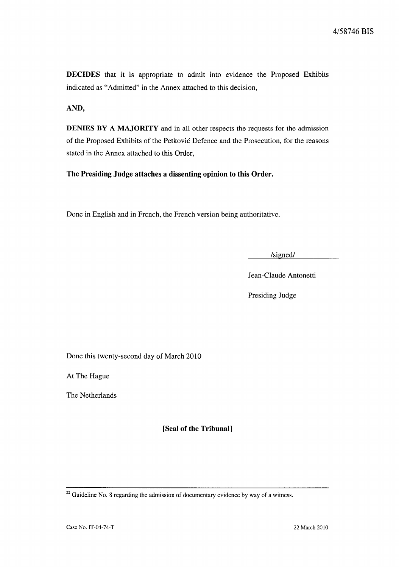**DECIDES** that it is appropriate to admit into evidence the Proposed Exhibits indicated as "Admitted" in the Annex attached to this decision,

**AND,** 

**DENIES BY A MAJORITY** and in all other respects the requests for the admission of the Proposed Exhibits of the Petkovic Defence and the Prosecution, for the reasons stated in the Annex attached to this Order,

**The Presiding Judge attaches a dissenting opinion to this Order.** 

Done in English and in French, the French version being authoritative.

/signed/

Jean-Claude Antonetti

Presiding Judge

Done this twenty-second day of March 2010

At The Hague

The Netherlands

**[Seal of the Tribunal]** 

 $22$  Guideline No. 8 regarding the admission of documentary evidence by way of a witness.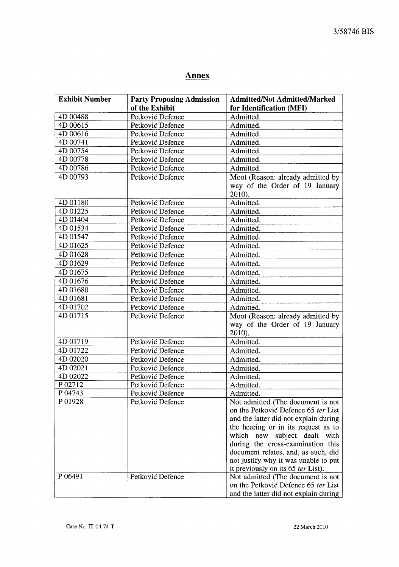# **Annex**

| <b>Exhibit Number</b> | <b>Party Proposing Admission</b> | <b>Admitted/Not Admitted/Marked</b>                                                                                                                                                                                                                                                                                                                   |
|-----------------------|----------------------------------|-------------------------------------------------------------------------------------------------------------------------------------------------------------------------------------------------------------------------------------------------------------------------------------------------------------------------------------------------------|
|                       | of the Exhibit                   | for Identification (MFI)                                                                                                                                                                                                                                                                                                                              |
| 4D 00488              | Petković Defence                 | Admitted.                                                                                                                                                                                                                                                                                                                                             |
| 4D 00615              | Petković Defence                 | Admitted.                                                                                                                                                                                                                                                                                                                                             |
| 4D 00616              | Petković Defence                 | Admitted.                                                                                                                                                                                                                                                                                                                                             |
| 4D 00741              | Petković Defence                 | Admitted.                                                                                                                                                                                                                                                                                                                                             |
| 4D 00754              | Petković Defence                 | Admitted.                                                                                                                                                                                                                                                                                                                                             |
| 4D 00778              | Petković Defence                 | Admitted.                                                                                                                                                                                                                                                                                                                                             |
| 4D 00786              | Petković Defence                 | Admitted.                                                                                                                                                                                                                                                                                                                                             |
| 4D 00793              | Petković Defence                 | Moot (Reason: already admitted by<br>way of the Order of 19 January<br>2010).                                                                                                                                                                                                                                                                         |
| 4D 01180              | Petković Defence                 | Admitted.                                                                                                                                                                                                                                                                                                                                             |
| 4D 01225              | Petković Defence                 | Admitted.                                                                                                                                                                                                                                                                                                                                             |
| 4D 01404              | Petković Defence                 | Admitted.                                                                                                                                                                                                                                                                                                                                             |
| 4D 01534              | Petković Defence                 | Admitted.                                                                                                                                                                                                                                                                                                                                             |
| 4D 01547              | Petković Defence                 | Admitted.                                                                                                                                                                                                                                                                                                                                             |
| 4D 01625              | Petković Defence                 | Admitted.                                                                                                                                                                                                                                                                                                                                             |
| 4D 01628              | Petković Defence                 | Admitted.                                                                                                                                                                                                                                                                                                                                             |
| 4D 01629              | Petković Defence                 | Admitted.                                                                                                                                                                                                                                                                                                                                             |
| 4D 01675              | Petković Defence                 | Admitted.                                                                                                                                                                                                                                                                                                                                             |
| 4D 01676              | Petković Defence                 | Admitted.                                                                                                                                                                                                                                                                                                                                             |
| 4D01680               | Petković Defence                 | Admitted.                                                                                                                                                                                                                                                                                                                                             |
| 4D 01681              | Petković Defence                 | Admitted.                                                                                                                                                                                                                                                                                                                                             |
| 4D 01702              | Petković Defence                 | Admitted.                                                                                                                                                                                                                                                                                                                                             |
| 4D 01715              | Petković Defence                 | Moot (Reason: already admitted by<br>way of the Order of 19 January<br>$2010$ ).                                                                                                                                                                                                                                                                      |
| 4D 01719              | Petković Defence                 | Admitted.                                                                                                                                                                                                                                                                                                                                             |
| 4D 01722              | Petković Defence                 | Admitted.                                                                                                                                                                                                                                                                                                                                             |
| 4D 02020              | Petković Defence                 | Admitted.                                                                                                                                                                                                                                                                                                                                             |
| 4D 02021              | Petković Defence                 | Admitted.                                                                                                                                                                                                                                                                                                                                             |
| 4D 02022              | Petković Defence                 | Admitted.                                                                                                                                                                                                                                                                                                                                             |
| P 02712               | Petković Defence                 | Admitted.                                                                                                                                                                                                                                                                                                                                             |
| P 04743               | Petković Defence                 | Admitted.                                                                                                                                                                                                                                                                                                                                             |
| P01928                | Petković Defence                 | Not admitted (The document is not<br>on the Petković Defence 65 ter List<br>and the latter did not explain during<br>the hearing or in its request as to<br>which new subject dealt<br>with<br>during the cross-examination this<br>document relates, and, as such, did<br>not justify why it was unable to put<br>it previously on its 65 ter List). |
| P 06491               | Petković Defence                 | Not admitted (The document is not<br>on the Petković Defence 65 ter List<br>and the latter did not explain during                                                                                                                                                                                                                                     |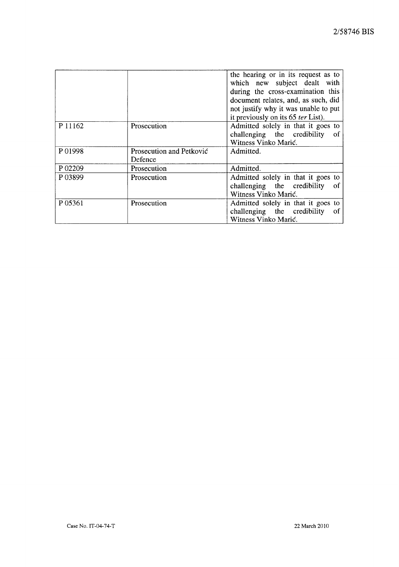|         |                                     | the hearing or in its request as to<br>which new subject dealt with<br>during the cross-examination this<br>document relates, and, as such, did<br>not justify why it was unable to put<br>it previously on its 65 <i>ter</i> List). |
|---------|-------------------------------------|--------------------------------------------------------------------------------------------------------------------------------------------------------------------------------------------------------------------------------------|
| P 11162 | Prosecution                         | Admitted solely in that it goes to<br>challenging the credibility<br>-of<br>Witness Vinko Marić.                                                                                                                                     |
| P01998  | Prosecution and Petković<br>Defence | Admitted.                                                                                                                                                                                                                            |
| P 02209 | Prosecution                         | Admitted.                                                                                                                                                                                                                            |
| P 03899 | Prosecution                         | Admitted solely in that it goes to<br>challenging the credibility<br>- of<br>Witness Vinko Marić.                                                                                                                                    |
| P 05361 | Prosecution                         | Admitted solely in that it goes to<br>challenging the credibility<br>of<br>Witness Vinko Marić.                                                                                                                                      |